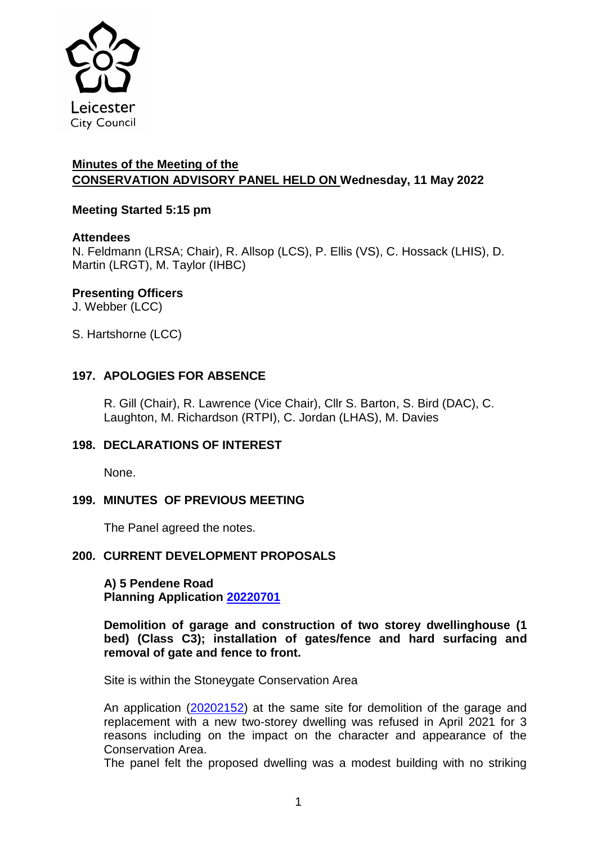

# **Minutes of the Meeting of the CONSERVATION ADVISORY PANEL HELD ON Wednesday, 11 May 2022**

# **Meeting Started 5:15 pm**

# **Attendees**

N. Feldmann (LRSA; Chair), R. Allsop (LCS), P. Ellis (VS), C. Hossack (LHIS), D. Martin (LRGT), M. Taylor (IHBC)

# **Presenting Officers**

J. Webber (LCC)

S. Hartshorne (LCC)

# **197. APOLOGIES FOR ABSENCE**

R. Gill (Chair), R. Lawrence (Vice Chair), Cllr S. Barton, S. Bird (DAC), C. Laughton, M. Richardson (RTPI), C. Jordan (LHAS), M. Davies

# **198. DECLARATIONS OF INTEREST**

None.

# **199. MINUTES OF PREVIOUS MEETING**

The Panel agreed the notes.

# **200. CURRENT DEVELOPMENT PROPOSALS**

**A) 5 Pendene Road Planning Application [20220701](https://planning.leicester.gov.uk/Planning/Display/20220701)**

**Demolition of garage and construction of two storey dwellinghouse (1 bed) (Class C3); installation of gates/fence and hard surfacing and removal of gate and fence to front.**

Site is within the Stoneygate Conservation Area

An application [\(20202152\)](https://planning.leicester.gov.uk/Planning/Display/20202152) at the same site for demolition of the garage and replacement with a new two-storey dwelling was refused in April 2021 for 3 reasons including on the impact on the character and appearance of the Conservation Area.

The panel felt the proposed dwelling was a modest building with no striking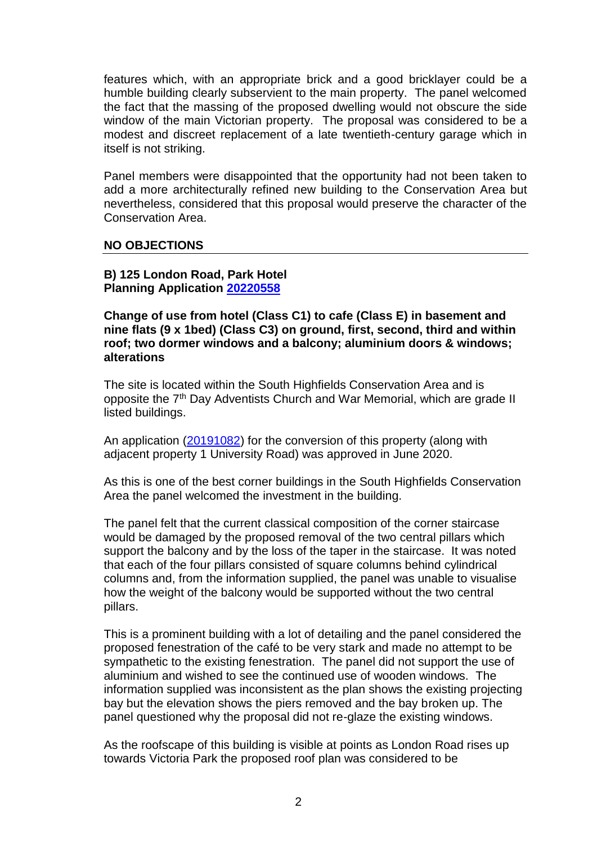features which, with an appropriate brick and a good bricklayer could be a humble building clearly subservient to the main property. The panel welcomed the fact that the massing of the proposed dwelling would not obscure the side window of the main Victorian property. The proposal was considered to be a modest and discreet replacement of a late twentieth-century garage which in itself is not striking.

Panel members were disappointed that the opportunity had not been taken to add a more architecturally refined new building to the Conservation Area but nevertheless, considered that this proposal would preserve the character of the Conservation Area.

### **NO OBJECTIONS**

### **B) 125 London Road, Park Hotel Planning Application [20220558](https://planning.leicester.gov.uk/Planning/Display/20220558)**

**Change of use from hotel (Class C1) to cafe (Class E) in basement and nine flats (9 x 1bed) (Class C3) on ground, first, second, third and within roof; two dormer windows and a balcony; aluminium doors & windows; alterations**

The site is located within the South Highfields Conservation Area and is opposite the 7<sup>th</sup> Day Adventists Church and War Memorial, which are grade II listed buildings.

An application [\(20191082\)](https://planning.leicester.gov.uk/Planning/Display/20191082) for the conversion of this property (along with adjacent property 1 University Road) was approved in June 2020.

As this is one of the best corner buildings in the South Highfields Conservation Area the panel welcomed the investment in the building.

The panel felt that the current classical composition of the corner staircase would be damaged by the proposed removal of the two central pillars which support the balcony and by the loss of the taper in the staircase. It was noted that each of the four pillars consisted of square columns behind cylindrical columns and, from the information supplied, the panel was unable to visualise how the weight of the balcony would be supported without the two central pillars.

This is a prominent building with a lot of detailing and the panel considered the proposed fenestration of the café to be very stark and made no attempt to be sympathetic to the existing fenestration. The panel did not support the use of aluminium and wished to see the continued use of wooden windows. The information supplied was inconsistent as the plan shows the existing projecting bay but the elevation shows the piers removed and the bay broken up. The panel questioned why the proposal did not re-glaze the existing windows.

As the roofscape of this building is visible at points as London Road rises up towards Victoria Park the proposed roof plan was considered to be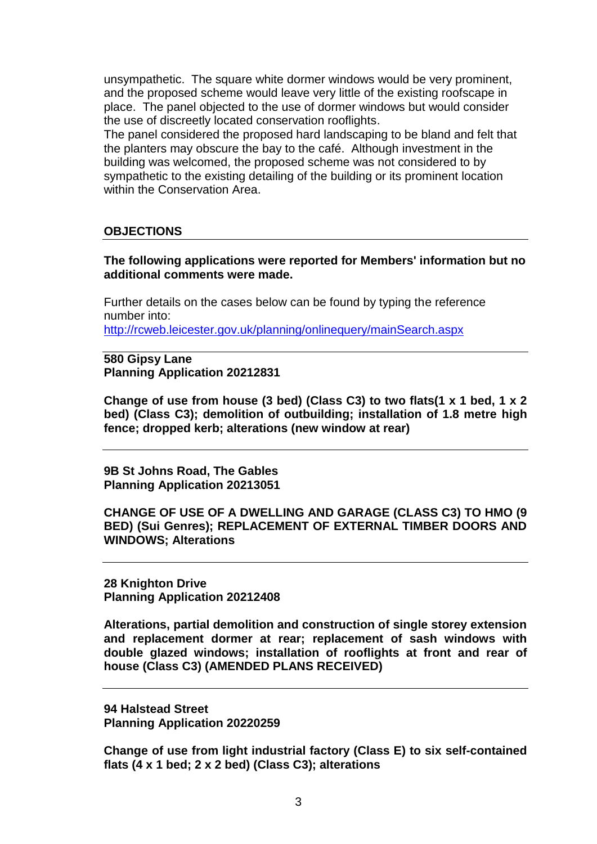unsympathetic. The square white dormer windows would be very prominent, and the proposed scheme would leave very little of the existing roofscape in place. The panel objected to the use of dormer windows but would consider the use of discreetly located conservation rooflights.

The panel considered the proposed hard landscaping to be bland and felt that the planters may obscure the bay to the café. Although investment in the building was welcomed, the proposed scheme was not considered to by sympathetic to the existing detailing of the building or its prominent location within the Conservation Area.

### **OBJECTIONS**

**The following applications were reported for Members' information but no additional comments were made.**

Further details on the cases below can be found by typing the reference number into: <http://rcweb.leicester.gov.uk/planning/onlinequery/mainSearch.aspx>

**580 Gipsy Lane Planning Application 20212831**

**Change of use from house (3 bed) (Class C3) to two flats(1 x 1 bed, 1 x 2 bed) (Class C3); demolition of outbuilding; installation of 1.8 metre high fence; dropped kerb; alterations (new window at rear)**

**9B St Johns Road, The Gables Planning Application 20213051**

**CHANGE OF USE OF A DWELLING AND GARAGE (CLASS C3) TO HMO (9 BED) (Sui Genres); REPLACEMENT OF EXTERNAL TIMBER DOORS AND WINDOWS; Alterations**

**28 Knighton Drive Planning Application 20212408**

**Alterations, partial demolition and construction of single storey extension and replacement dormer at rear; replacement of sash windows with double glazed windows; installation of rooflights at front and rear of house (Class C3) (AMENDED PLANS RECEIVED)**

**94 Halstead Street Planning Application 20220259**

**Change of use from light industrial factory (Class E) to six self-contained flats (4 x 1 bed; 2 x 2 bed) (Class C3); alterations**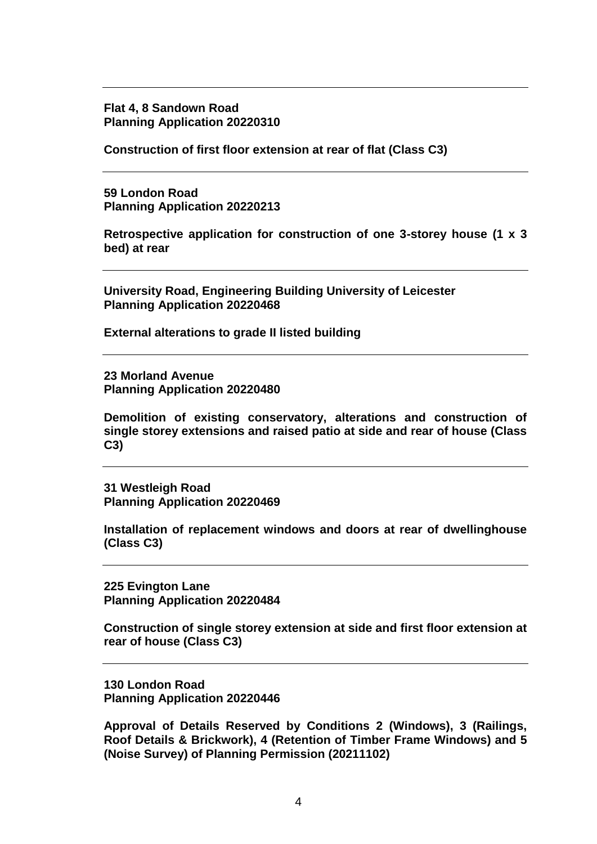**Flat 4, 8 Sandown Road Planning Application 20220310**

**Construction of first floor extension at rear of flat (Class C3)**

**59 London Road Planning Application 20220213**

**Retrospective application for construction of one 3-storey house (1 x 3 bed) at rear**

**University Road, Engineering Building University of Leicester Planning Application 20220468**

**External alterations to grade II listed building**

**23 Morland Avenue Planning Application 20220480**

**Demolition of existing conservatory, alterations and construction of single storey extensions and raised patio at side and rear of house (Class C3)**

**31 Westleigh Road Planning Application 20220469**

**Installation of replacement windows and doors at rear of dwellinghouse (Class C3)**

**225 Evington Lane Planning Application 20220484**

**Construction of single storey extension at side and first floor extension at rear of house (Class C3)**

**130 London Road Planning Application 20220446**

**Approval of Details Reserved by Conditions 2 (Windows), 3 (Railings, Roof Details & Brickwork), 4 (Retention of Timber Frame Windows) and 5 (Noise Survey) of Planning Permission (20211102)**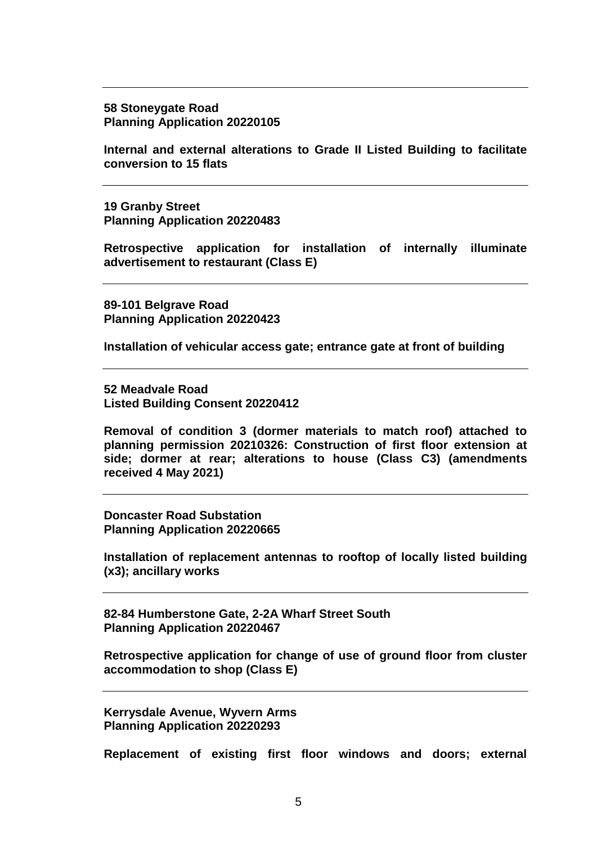#### **58 Stoneygate Road Planning Application 20220105**

**Internal and external alterations to Grade II Listed Building to facilitate conversion to 15 flats**

**19 Granby Street Planning Application 20220483**

**Retrospective application for installation of internally illuminate advertisement to restaurant (Class E)**

**89-101 Belgrave Road Planning Application 20220423**

**Installation of vehicular access gate; entrance gate at front of building**

**52 Meadvale Road Listed Building Consent 20220412**

**Removal of condition 3 (dormer materials to match roof) attached to planning permission 20210326: Construction of first floor extension at side; dormer at rear; alterations to house (Class C3) (amendments received 4 May 2021)**

**Doncaster Road Substation Planning Application 20220665**

**Installation of replacement antennas to rooftop of locally listed building (x3); ancillary works**

**82-84 Humberstone Gate, 2-2A Wharf Street South Planning Application 20220467**

**Retrospective application for change of use of ground floor from cluster accommodation to shop (Class E)**

**Kerrysdale Avenue, Wyvern Arms Planning Application 20220293**

**Replacement of existing first floor windows and doors; external**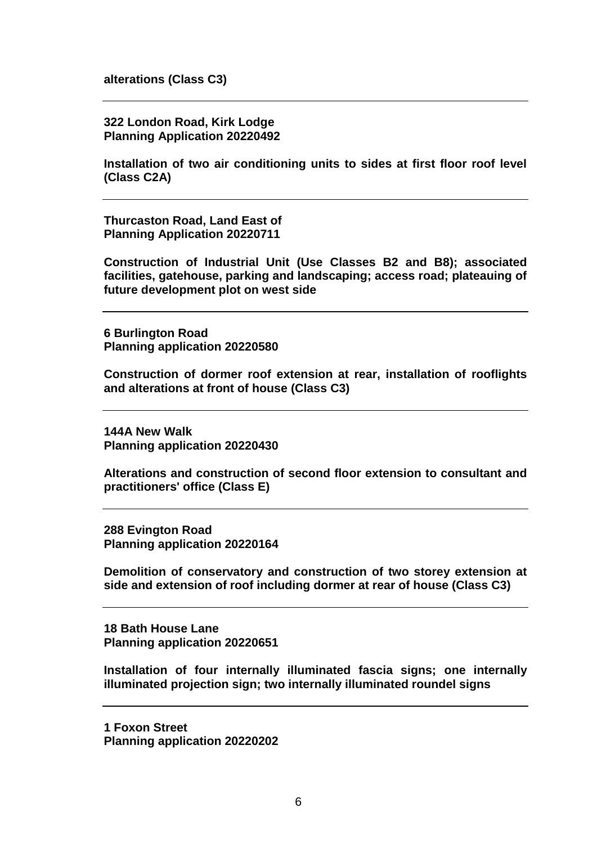**alterations (Class C3)**

**322 London Road, Kirk Lodge Planning Application 20220492**

**Installation of two air conditioning units to sides at first floor roof level (Class C2A)**

**Thurcaston Road, Land East of Planning Application 20220711**

**Construction of Industrial Unit (Use Classes B2 and B8); associated facilities, gatehouse, parking and landscaping; access road; plateauing of future development plot on west side**

**6 Burlington Road Planning application 20220580**

**Construction of dormer roof extension at rear, installation of rooflights and alterations at front of house (Class C3)**

**144A New Walk Planning application 20220430**

**Alterations and construction of second floor extension to consultant and practitioners' office (Class E)**

**288 Evington Road Planning application 20220164**

**Demolition of conservatory and construction of two storey extension at side and extension of roof including dormer at rear of house (Class C3)**

**18 Bath House Lane Planning application 20220651**

**Installation of four internally illuminated fascia signs; one internally illuminated projection sign; two internally illuminated roundel signs**

**1 Foxon Street Planning application 20220202**